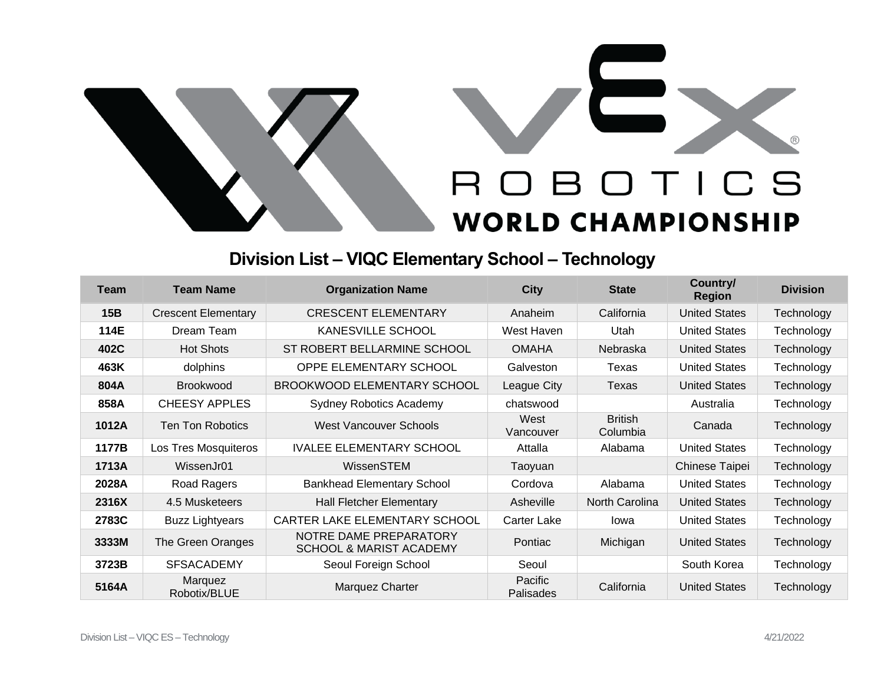

## **Division List – VIQC Elementary School – Technology**

| <b>Team</b> | <b>Team Name</b>           | <b>Organization Name</b>                                     | City                               | <b>State</b>               | Country/<br><b>Region</b> | <b>Division</b> |
|-------------|----------------------------|--------------------------------------------------------------|------------------------------------|----------------------------|---------------------------|-----------------|
| 15B         | <b>Crescent Elementary</b> | <b>CRESCENT ELEMENTARY</b>                                   | Anaheim                            | California                 | <b>United States</b>      | Technology      |
| 114E        | Dream Team                 | KANESVILLE SCHOOL                                            | West Haven                         | Utah                       | <b>United States</b>      | Technology      |
| 402C        | <b>Hot Shots</b>           | ST ROBERT BELLARMINE SCHOOL                                  | <b>OMAHA</b>                       | <b>Nebraska</b>            | <b>United States</b>      | Technology      |
| 463K        | dolphins                   | OPPE ELEMENTARY SCHOOL                                       | Galveston                          | Texas                      | <b>United States</b>      | Technology      |
| 804A        | <b>Brookwood</b>           | BROOKWOOD ELEMENTARY SCHOOL                                  | League City                        | Texas                      | <b>United States</b>      | Technology      |
| 858A        | CHEESY APPLES              | <b>Sydney Robotics Academy</b>                               | chatswood                          |                            | Australia                 | Technology      |
| 1012A       | Ten Ton Robotics           | <b>West Vancouver Schools</b>                                | West<br>Vancouver                  | <b>British</b><br>Columbia | Canada                    | Technology      |
| 1177B       | Los Tres Mosquiteros       | <b>IVALEE ELEMENTARY SCHOOL</b>                              | Attalla                            | Alabama                    | <b>United States</b>      | Technology      |
| 1713A       | WissenJr01                 | WissenSTEM                                                   | Taoyuan                            |                            | Chinese Taipei            | Technology      |
| 2028A       | Road Ragers                | <b>Bankhead Elementary School</b>                            | Cordova                            | Alabama                    | <b>United States</b>      | Technology      |
| 2316X       | 4.5 Musketeers             | <b>Hall Fletcher Elementary</b>                              | Asheville                          | North Carolina             | <b>United States</b>      | Technology      |
| 2783C       | <b>Buzz Lightyears</b>     | CARTER LAKE ELEMENTARY SCHOOL                                | Carter Lake                        | lowa                       | <b>United States</b>      | Technology      |
| 3333M       | The Green Oranges          | NOTRE DAME PREPARATORY<br><b>SCHOOL &amp; MARIST ACADEMY</b> | Pontiac                            | Michigan                   | <b>United States</b>      | Technology      |
| 3723B       | <b>SFSACADEMY</b>          | Seoul Foreign School                                         | Seoul                              |                            | South Korea               | Technology      |
| 5164A       | Marquez<br>Robotix/BLUE    | Marquez Charter                                              | <b>Pacific</b><br><b>Palisades</b> | California                 | <b>United States</b>      | Technology      |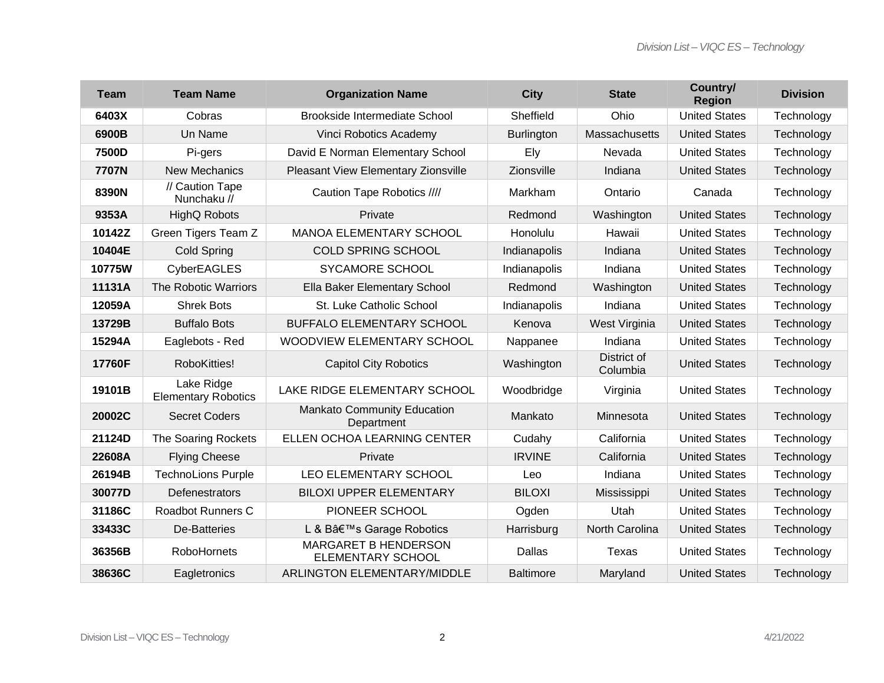| <b>Team</b> | <b>Team Name</b>                         | <b>Organization Name</b>                         | <b>City</b>       | <b>State</b>            | Country/<br><b>Region</b> | <b>Division</b> |
|-------------|------------------------------------------|--------------------------------------------------|-------------------|-------------------------|---------------------------|-----------------|
| 6403X       | Cobras                                   | <b>Brookside Intermediate School</b>             | Sheffield         | Ohio                    | <b>United States</b>      | Technology      |
| 6900B       | Un Name                                  | Vinci Robotics Academy                           | <b>Burlington</b> | Massachusetts           | <b>United States</b>      | Technology      |
| 7500D       | Pi-gers                                  | David E Norman Elementary School                 | Ely               | Nevada                  | <b>United States</b>      | Technology      |
| 7707N       | <b>New Mechanics</b>                     | Pleasant View Elementary Zionsville              | Zionsville        | Indiana                 | <b>United States</b>      | Technology      |
| 8390N       | // Caution Tape<br>Nunchaku //           | Caution Tape Robotics ////                       | Markham           | Ontario                 | Canada                    | Technology      |
| 9353A       | <b>HighQ Robots</b>                      | Private                                          | Redmond           | Washington              | <b>United States</b>      | Technology      |
| 10142Z      | Green Tigers Team Z                      | <b>MANOA ELEMENTARY SCHOOL</b>                   | Honolulu          | Hawaii                  | <b>United States</b>      | Technology      |
| 10404E      | <b>Cold Spring</b>                       | <b>COLD SPRING SCHOOL</b>                        | Indianapolis      | Indiana                 | <b>United States</b>      | Technology      |
| 10775W      | <b>CyberEAGLES</b>                       | <b>SYCAMORE SCHOOL</b>                           | Indianapolis      | Indiana                 | <b>United States</b>      | Technology      |
| 11131A      | The Robotic Warriors                     | Ella Baker Elementary School                     | Redmond           | Washington              | <b>United States</b>      | Technology      |
| 12059A      | <b>Shrek Bots</b>                        | St. Luke Catholic School                         | Indianapolis      | Indiana                 | <b>United States</b>      | Technology      |
| 13729B      | <b>Buffalo Bots</b>                      | BUFFALO ELEMENTARY SCHOOL                        | Kenova            | West Virginia           | <b>United States</b>      | Technology      |
| 15294A      | Eaglebots - Red                          | WOODVIEW ELEMENTARY SCHOOL                       | Nappanee          | Indiana                 | <b>United States</b>      | Technology      |
| 17760F      | RoboKitties!                             | <b>Capitol City Robotics</b>                     | Washington        | District of<br>Columbia | <b>United States</b>      | Technology      |
| 19101B      | Lake Ridge<br><b>Elementary Robotics</b> | LAKE RIDGE ELEMENTARY SCHOOL                     | Woodbridge        | Virginia                | <b>United States</b>      | Technology      |
| 20002C      | <b>Secret Coders</b>                     | <b>Mankato Community Education</b><br>Department | Mankato           | Minnesota               | <b>United States</b>      | Technology      |
| 21124D      | The Soaring Rockets                      | ELLEN OCHOA LEARNING CENTER                      | Cudahy            | California              | <b>United States</b>      | Technology      |
| 22608A      | <b>Flying Cheese</b>                     | Private                                          | <b>IRVINE</b>     | California              | <b>United States</b>      | Technology      |
| 26194B      | <b>TechnoLions Purple</b>                | LEO ELEMENTARY SCHOOL                            | Leo               | Indiana                 | <b>United States</b>      | Technology      |
| 30077D      | Defenestrators                           | <b>BILOXI UPPER ELEMENTARY</b>                   | <b>BILOXI</b>     | Mississippi             | <b>United States</b>      | Technology      |
| 31186C      | <b>Roadbot Runners C</b>                 | PIONEER SCHOOL                                   | Ogden             | Utah                    | <b>United States</b>      | Technology      |
| 33433C      | De-Batteries                             | L & B's Garage Robotics                          | Harrisburg        | North Carolina          | <b>United States</b>      | Technology      |
| 36356B      | <b>RoboHornets</b>                       | MARGARET B HENDERSON<br>ELEMENTARY SCHOOL        | Dallas            | <b>Texas</b>            | <b>United States</b>      | Technology      |
| 38636C      | Eagletronics                             | ARLINGTON ELEMENTARY/MIDDLE                      | <b>Baltimore</b>  | Maryland                | <b>United States</b>      | Technology      |